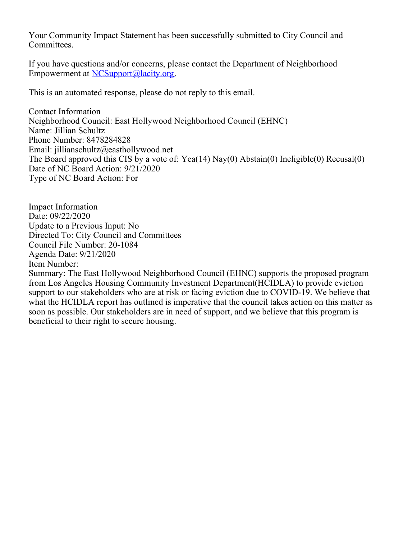Your Community Impact Statement has been successfully submitted to City Council and Committees.

If you have questions and/or concerns, please contact the Department of Neighborhood Empowerment at [NCSupport@lacity.org](mailto:NCSupport@lacity.org).

This is an automated response, please do not reply to this email.

Contact Information Neighborhood Council: East Hollywood Neighborhood Council (EHNC) Name: Jillian Schultz Phone Number: 8478284828 Email: jillianschultz@easthollywood.net The Board approved this CIS by a vote of: Yea(14) Nay(0) Abstain(0) Ineligible(0) Recusal(0) Date of NC Board Action: 9/21/2020 Type of NC Board Action: For

Impact Information Date: 09/22/2020 Update to a Previous Input: No Directed To: City Council and Committees Council File Number: 20-1084 Agenda Date: 9/21/2020 Item Number:

Summary: The East Hollywood Neighborhood Council (EHNC) supports the proposed program from Los Angeles Housing Community Investment Department(HCIDLA) to provide eviction support to our stakeholders who are at risk or facing eviction due to COVID-19. We believe that what the HCIDLA report has outlined is imperative that the council takes action on this matter as soon as possible. Our stakeholders are in need of support, and we believe that this program is beneficial to their right to secure housing.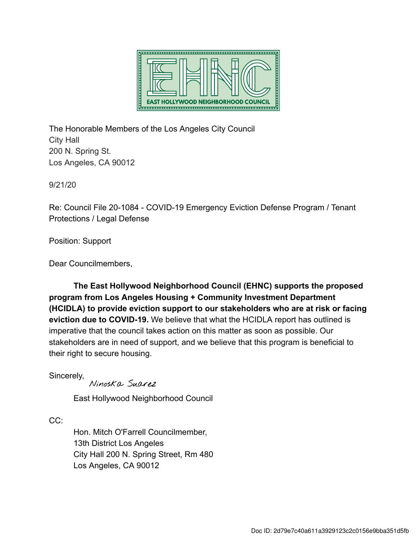

The Honorable Members of the Los Angeles City Council City Hall 200 N. Spring St. Los Angeles, CA 90012

9/21/20

Re: Council File 20-1084 - COVID-19 Emergency Eviction Defense Program / Tenant Protections / Legal Defense

Position: Support

Dear Councilmembers,

The East Hollywood Neighborhood Council (EHNC) supports the proposed program from Los Angeles Housing + Community Investment Department (HCIDLA) to provide eviction support to our stakeholders who are at risk or facing eviction due to COVID-19. We believe that what the HCIDLA report has outlined is imperative that the council takes action on this matter as soon as possible. Our stakeholders are in need of support, and we believe that this program is beneficial to their right to secure housing.

Sincerely,

Ninoska Suarez

East Hollywood Neighborhood Council

CC:

Hon. Mitch O'Farrell Councilmember, 13th District Los Angeles City Hall 200 N. Spring Street, Rm 480 Los Angeles, CA 90012